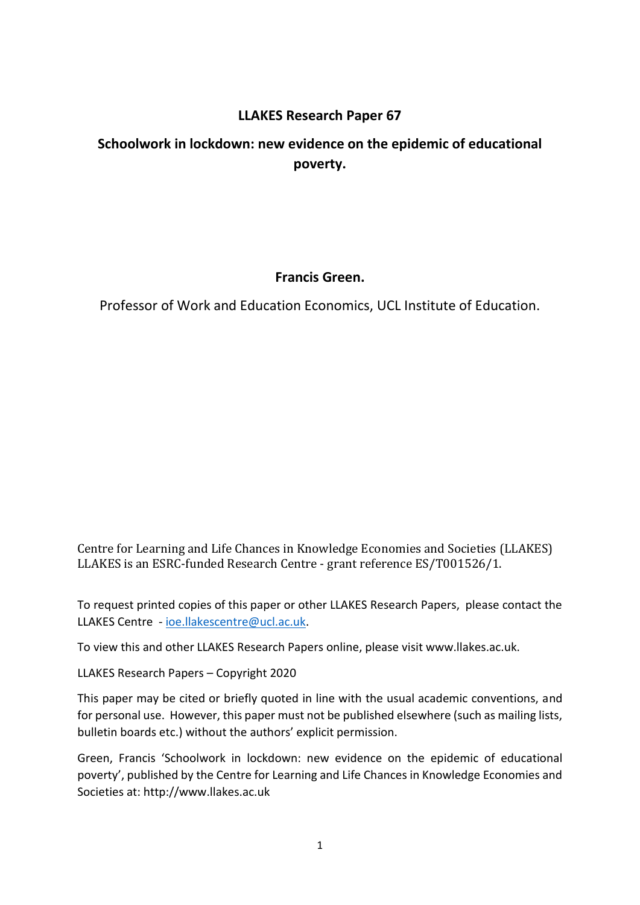# **LLAKES Research Paper 67**

# **Schoolwork in lockdown: new evidence on the epidemic of educational poverty.**

# **Francis Green.**

Professor of Work and Education Economics, UCL Institute of Education.

Centre for Learning and Life Chances in Knowledge Economies and Societies (LLAKES) LLAKES is an ESRC-funded Research Centre - grant reference ES/T001526/1.

To request printed copies of this paper or other LLAKES Research Papers, please contact the LLAKES Centre - [ioe.llakescentre@ucl.ac.uk.](mailto:ioe.llakescentre@ucl.ac.uk)

To view this and other LLAKES Research Papers online, please visit www.llakes.ac.uk.

LLAKES Research Papers – Copyright 2020

This paper may be cited or briefly quoted in line with the usual academic conventions, and for personal use. However, this paper must not be published elsewhere (such as mailing lists, bulletin boards etc.) without the authors' explicit permission.

Green, Francis 'Schoolwork in lockdown: new evidence on the epidemic of educational poverty', published by the Centre for Learning and Life Chances in Knowledge Economies and Societies at: http://www.llakes.ac.uk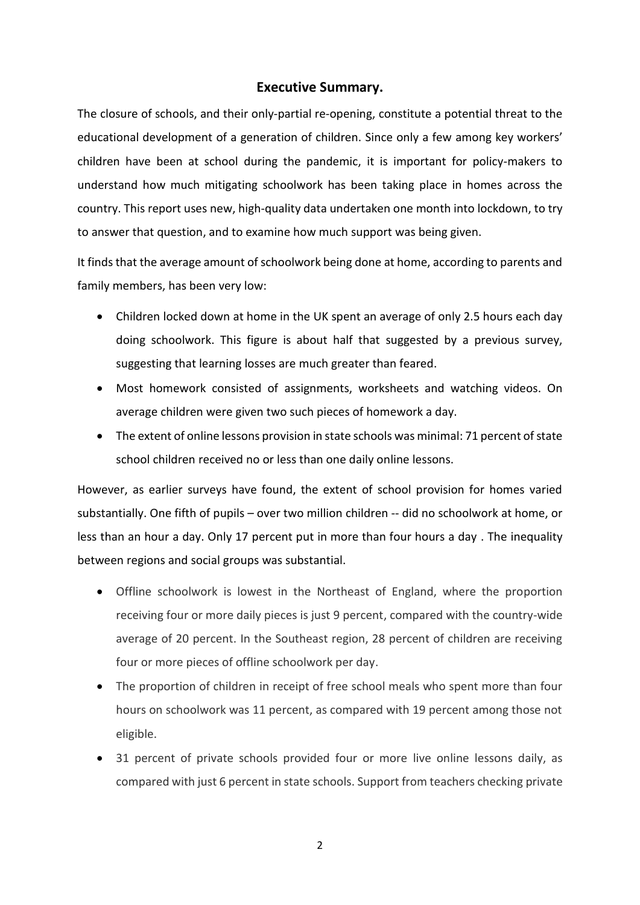## **Executive Summary.**

The closure of schools, and their only-partial re-opening, constitute a potential threat to the educational development of a generation of children. Since only a few among key workers' children have been at school during the pandemic, it is important for policy-makers to understand how much mitigating schoolwork has been taking place in homes across the country. This report uses new, high-quality data undertaken one month into lockdown, to try to answer that question, and to examine how much support was being given.

It finds that the average amount of schoolwork being done at home, according to parents and family members, has been very low:

- Children locked down at home in the UK spent an average of only 2.5 hours each day doing schoolwork. This figure is about half that suggested by a previous survey, suggesting that learning losses are much greater than feared.
- Most homework consisted of assignments, worksheets and watching videos. On average children were given two such pieces of homework a day.
- The extent of online lessons provision in state schools was minimal: 71 percent of state school children received no or less than one daily online lessons.

However, as earlier surveys have found, the extent of school provision for homes varied substantially. One fifth of pupils – over two million children -- did no schoolwork at home, or less than an hour a day. Only 17 percent put in more than four hours a day . The inequality between regions and social groups was substantial.

- Offline schoolwork is lowest in the Northeast of England, where the proportion receiving four or more daily pieces is just 9 percent, compared with the country-wide average of 20 percent. In the Southeast region, 28 percent of children are receiving four or more pieces of offline schoolwork per day.
- The proportion of children in receipt of free school meals who spent more than four hours on schoolwork was 11 percent, as compared with 19 percent among those not eligible.
- 31 percent of private schools provided four or more live online lessons daily, as compared with just 6 percent in state schools. Support from teachers checking private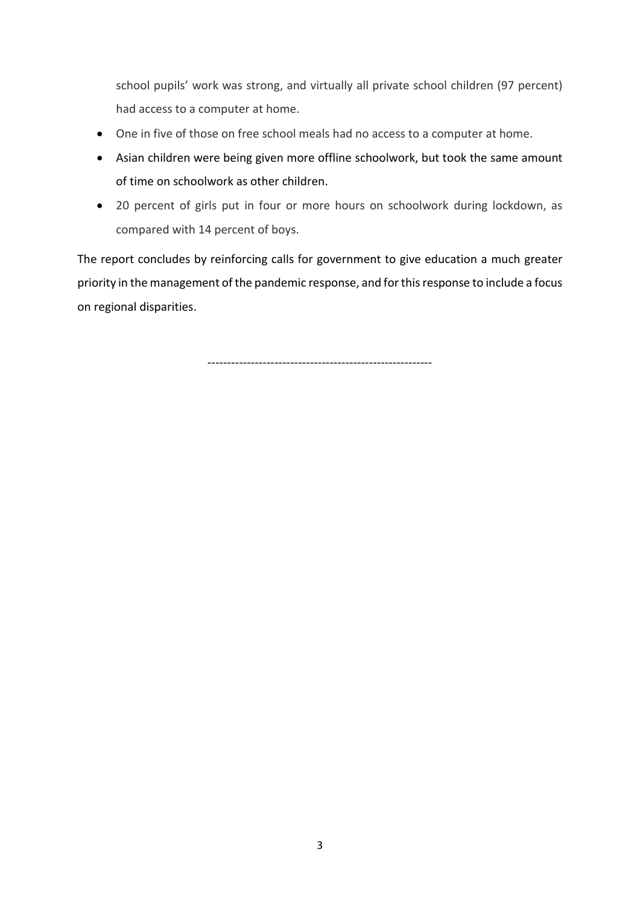school pupils' work was strong, and virtually all private school children (97 percent) had access to a computer at home.

- One in five of those on free school meals had no access to a computer at home.
- Asian children were being given more offline schoolwork, but took the same amount of time on schoolwork as other children.
- 20 percent of girls put in four or more hours on schoolwork during lockdown, as compared with 14 percent of boys.

The report concludes by reinforcing calls for government to give education a much greater priority in the management of the pandemic response, and for thisresponse to include a focus on regional disparities.

---------------------------------------------------------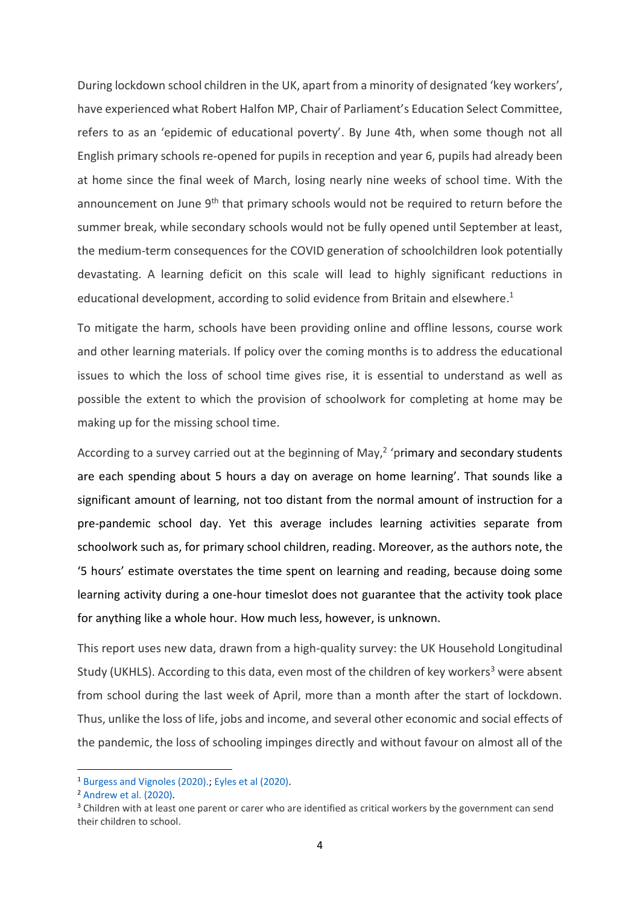During lockdown school children in the UK, apart from a minority of designated 'key workers', have experienced what Robert Halfon MP, Chair of Parliament's Education Select Committee, refers to as an 'epidemic of educational poverty'. By June 4th, when some though not all English primary schools re-opened for pupils in reception and year 6, pupils had already been at home since the final week of March, losing nearly nine weeks of school time. With the announcement on June 9<sup>th</sup> that primary schools would not be required to return before the summer break, while secondary schools would not be fully opened until September at least, the medium-term consequences for the COVID generation of schoolchildren look potentially devastating. A learning deficit on this scale will lead to highly significant reductions in educational development, according to solid evidence from Britain and elsewhere. 1

To mitigate the harm, schools have been providing online and offline lessons, course work and other learning materials. If policy over the coming months is to address the educational issues to which the loss of school time gives rise, it is essential to understand as well as possible the extent to which the provision of schoolwork for completing at home may be making up for the missing school time.

According to a survey carried out at the beginning of May, $<sup>2</sup>$  'primary and secondary students</sup> are each spending about 5 hours a day on average on home learning'. That sounds like a significant amount of learning, not too distant from the normal amount of instruction for a pre-pandemic school day. Yet this average includes learning activities separate from schoolwork such as, for primary school children, reading. Moreover, as the authors note, the '5 hours' estimate overstates the time spent on learning and reading, because doing some learning activity during a one-hour timeslot does not guarantee that the activity took place for anything like a whole hour. How much less, however, is unknown.

This report uses new data, drawn from a high-quality survey: the UK Household Longitudinal Study (UKHLS). According to this data, even most of the children of key workers<sup>3</sup> were absent from school during the last week of April, more than a month after the start of lockdown. Thus, unlike the loss of life, jobs and income, and several other economic and social effects of the pandemic, the loss of schooling impinges directly and without favour on almost all of the

1

<sup>1</sup> [Burgess and Vignoles \(2020\).;](https://www.ukfiet.org/2020/the-covid-19-crisis-and-educational-inequality/) [Eyles et al \(2020\).](http://cep.lse.ac.uk/pubs/download/cepcovid-19-001.pdf)

<sup>2</sup> [Andrew et al. \(2020\).](https://www.ifs.org.uk/publications/14848)

<sup>&</sup>lt;sup>3</sup> Children with at least one parent or carer who are identified as critical workers by the government can send their children to school.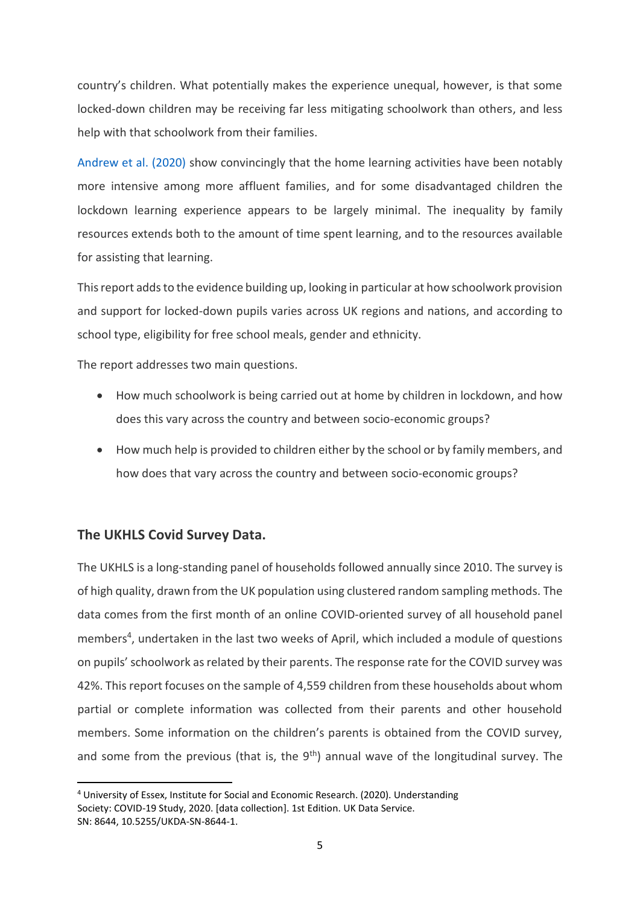country's children. What potentially makes the experience unequal, however, is that some locked-down children may be receiving far less mitigating schoolwork than others, and less help with that schoolwork from their families.

[Andrew et al. \(2020\)](https://www.ifs.org.uk/publications/14848) show convincingly that the home learning activities have been notably more intensive among more affluent families, and for some disadvantaged children the lockdown learning experience appears to be largely minimal. The inequality by family resources extends both to the amount of time spent learning, and to the resources available for assisting that learning.

This report adds to the evidence building up, looking in particular at how schoolwork provision and support for locked-down pupils varies across UK regions and nations, and according to school type, eligibility for free school meals, gender and ethnicity.

The report addresses two main questions.

- How much schoolwork is being carried out at home by children in lockdown, and how does this vary across the country and between socio-economic groups?
- How much help is provided to children either by the school or by family members, and how does that vary across the country and between socio-economic groups?

## **The UKHLS Covid Survey Data.**

**.** 

The UKHLS is a long-standing panel of households followed annually since 2010. The survey is of high quality, drawn from the UK population using clustered random sampling methods. The data comes from the first month of an online COVID-oriented survey of all household panel members<sup>4</sup>, undertaken in the last two weeks of April, which included a module of questions on pupils' schoolwork as related by their parents. The response rate for the COVID survey was 42%. This report focuses on the sample of 4,559 children from these households about whom partial or complete information was collected from their parents and other household members. Some information on the children's parents is obtained from the COVID survey, and some from the previous (that is, the  $9<sup>th</sup>$ ) annual wave of the longitudinal survey. The

<sup>4</sup> University of Essex, Institute for Social and Economic Research. (2020). Understanding Society: COVID-19 Study, 2020. [data collection]. 1st Edition. UK Data Service. SN: 8644, 10.5255/UKDA-SN-8644-1.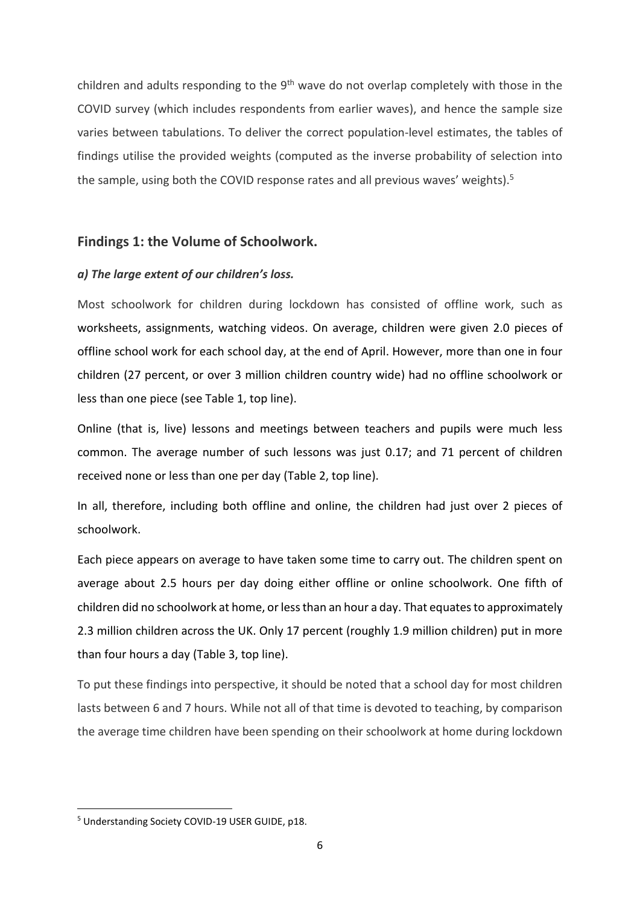children and adults responding to the 9<sup>th</sup> wave do not overlap completely with those in the COVID survey (which includes respondents from earlier waves), and hence the sample size varies between tabulations. To deliver the correct population-level estimates, the tables of findings utilise the provided weights (computed as the inverse probability of selection into the sample, using both the COVID response rates and all previous waves' weights).<sup>5</sup>

### **Findings 1: the Volume of Schoolwork.**

### *a) The large extent of our children's loss.*

Most schoolwork for children during lockdown has consisted of offline work, such as worksheets, assignments, watching videos. On average, children were given 2.0 pieces of offline school work for each school day, at the end of April. However, more than one in four children (27 percent, or over 3 million children country wide) had no offline schoolwork or less than one piece (see Table 1, top line).

Online (that is, live) lessons and meetings between teachers and pupils were much less common. The average number of such lessons was just 0.17; and 71 percent of children received none or less than one per day (Table 2, top line).

In all, therefore, including both offline and online, the children had just over 2 pieces of schoolwork.

Each piece appears on average to have taken some time to carry out. The children spent on average about 2.5 hours per day doing either offline or online schoolwork. One fifth of children did no schoolwork at home, or less than an hour a day. That equates to approximately 2.3 million children across the UK. Only 17 percent (roughly 1.9 million children) put in more than four hours a day (Table 3, top line).

To put these findings into perspective, it should be noted that a school day for most children lasts between 6 and 7 hours. While not all of that time is devoted to teaching, by comparison the average time children have been spending on their schoolwork at home during lockdown

<sup>5</sup> Understanding Society COVID-19 USER GUIDE, p18.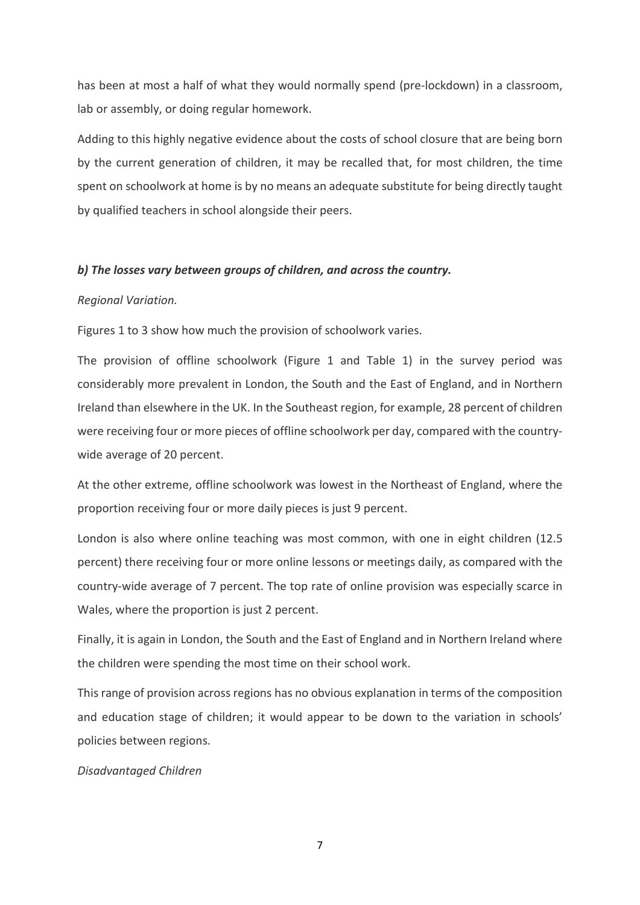has been at most a half of what they would normally spend (pre-lockdown) in a classroom, lab or assembly, or doing regular homework.

Adding to this highly negative evidence about the costs of school closure that are being born by the current generation of children, it may be recalled that, for most children, the time spent on schoolwork at home is by no means an adequate substitute for being directly taught by qualified teachers in school alongside their peers.

#### *b) The losses vary between groups of children, and across the country.*

#### *Regional Variation.*

Figures 1 to 3 show how much the provision of schoolwork varies.

The provision of offline schoolwork (Figure 1 and Table 1) in the survey period was considerably more prevalent in London, the South and the East of England, and in Northern Ireland than elsewhere in the UK. In the Southeast region, for example, 28 percent of children were receiving four or more pieces of offline schoolwork per day, compared with the countrywide average of 20 percent.

At the other extreme, offline schoolwork was lowest in the Northeast of England, where the proportion receiving four or more daily pieces is just 9 percent.

London is also where online teaching was most common, with one in eight children (12.5 percent) there receiving four or more online lessons or meetings daily, as compared with the country-wide average of 7 percent. The top rate of online provision was especially scarce in Wales, where the proportion is just 2 percent.

Finally, it is again in London, the South and the East of England and in Northern Ireland where the children were spending the most time on their school work.

This range of provision across regions has no obvious explanation in terms of the composition and education stage of children; it would appear to be down to the variation in schools' policies between regions.

#### *Disadvantaged Children*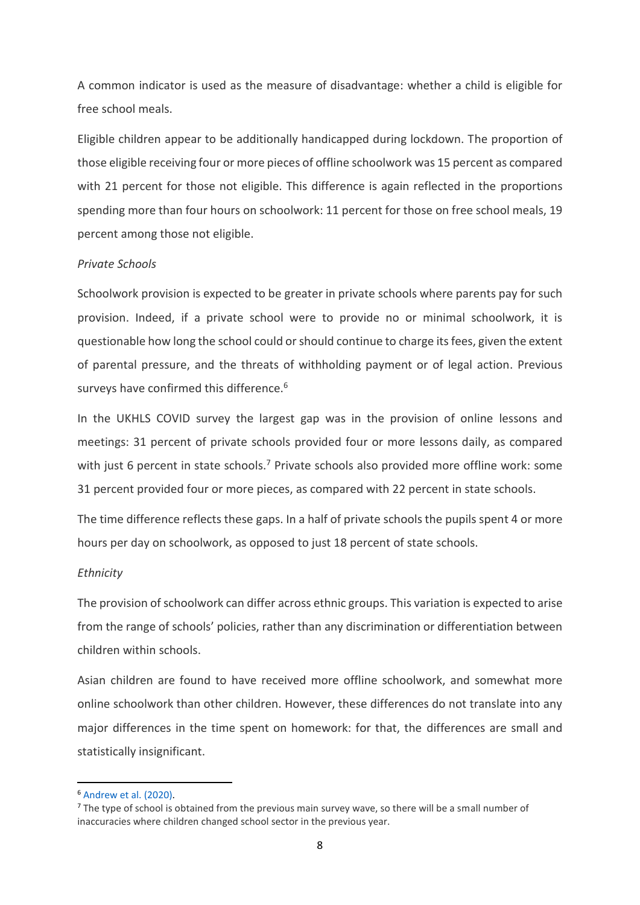A common indicator is used as the measure of disadvantage: whether a child is eligible for free school meals.

Eligible children appear to be additionally handicapped during lockdown. The proportion of those eligible receiving four or more pieces of offline schoolwork was 15 percent as compared with 21 percent for those not eligible. This difference is again reflected in the proportions spending more than four hours on schoolwork: 11 percent for those on free school meals, 19 percent among those not eligible.

#### *Private Schools*

Schoolwork provision is expected to be greater in private schools where parents pay for such provision. Indeed, if a private school were to provide no or minimal schoolwork, it is questionable how long the school could or should continue to charge its fees, given the extent of parental pressure, and the threats of withholding payment or of legal action. Previous surveys have confirmed this difference.<sup>6</sup>

In the UKHLS COVID survey the largest gap was in the provision of online lessons and meetings: 31 percent of private schools provided four or more lessons daily, as compared with just 6 percent in state schools.<sup>7</sup> Private schools also provided more offline work: some 31 percent provided four or more pieces, as compared with 22 percent in state schools.

The time difference reflects these gaps. In a half of private schools the pupils spent 4 or more hours per day on schoolwork, as opposed to just 18 percent of state schools.

#### *Ethnicity*

The provision of schoolwork can differ across ethnic groups. This variation is expected to arise from the range of schools' policies, rather than any discrimination or differentiation between children within schools.

Asian children are found to have received more offline schoolwork, and somewhat more online schoolwork than other children. However, these differences do not translate into any major differences in the time spent on homework: for that, the differences are small and statistically insignificant.

<sup>6</sup> [Andrew et al. \(2020\).](https://www.ifs.org.uk/publications/14848)

 $<sup>7</sup>$  The type of school is obtained from the previous main survey wave, so there will be a small number of</sup> inaccuracies where children changed school sector in the previous year.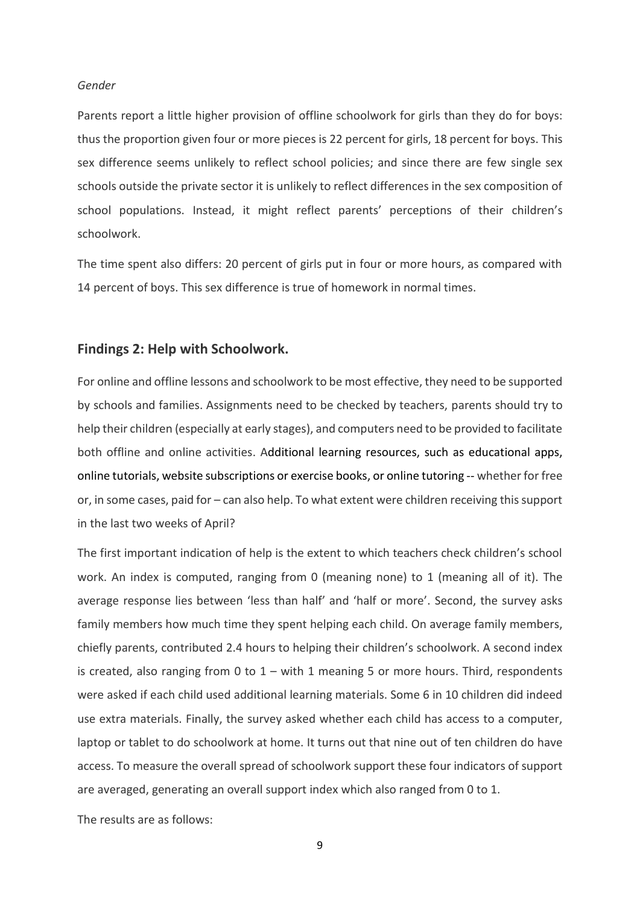#### *Gender*

Parents report a little higher provision of offline schoolwork for girls than they do for boys: thus the proportion given four or more pieces is 22 percent for girls, 18 percent for boys. This sex difference seems unlikely to reflect school policies; and since there are few single sex schools outside the private sector it is unlikely to reflect differences in the sex composition of school populations. Instead, it might reflect parents' perceptions of their children's schoolwork.

The time spent also differs: 20 percent of girls put in four or more hours, as compared with 14 percent of boys. This sex difference is true of homework in normal times.

### **Findings 2: Help with Schoolwork.**

For online and offline lessons and schoolwork to be most effective, they need to be supported by schools and families. Assignments need to be checked by teachers, parents should try to help their children (especially at early stages), and computers need to be provided to facilitate both offline and online activities. Additional learning resources, such as educational apps, online tutorials, website subscriptions or exercise books, or online tutoring -- whether for free or, in some cases, paid for – can also help. To what extent were children receiving this support in the last two weeks of April?

The first important indication of help is the extent to which teachers check children's school work. An index is computed, ranging from 0 (meaning none) to 1 (meaning all of it). The average response lies between 'less than half' and 'half or more'. Second, the survey asks family members how much time they spent helping each child. On average family members, chiefly parents, contributed 2.4 hours to helping their children's schoolwork. A second index is created, also ranging from 0 to  $1 -$  with 1 meaning 5 or more hours. Third, respondents were asked if each child used additional learning materials. Some 6 in 10 children did indeed use extra materials. Finally, the survey asked whether each child has access to a computer, laptop or tablet to do schoolwork at home. It turns out that nine out of ten children do have access. To measure the overall spread of schoolwork support these four indicators of support are averaged, generating an overall support index which also ranged from 0 to 1.

The results are as follows: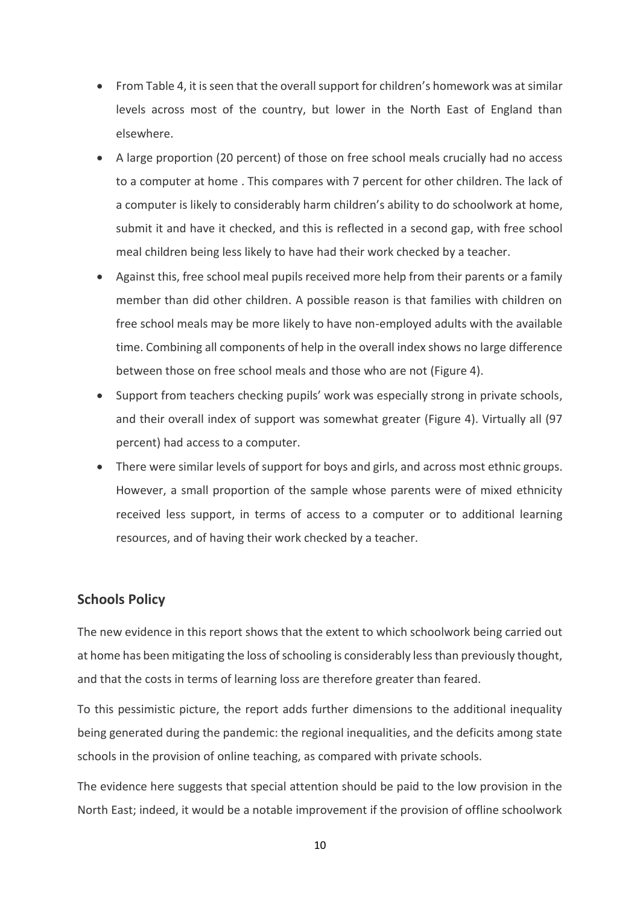- From Table 4, it is seen that the overall support for children's homework was at similar levels across most of the country, but lower in the North East of England than elsewhere.
- A large proportion (20 percent) of those on free school meals crucially had no access to a computer at home . This compares with 7 percent for other children. The lack of a computer is likely to considerably harm children's ability to do schoolwork at home, submit it and have it checked, and this is reflected in a second gap, with free school meal children being less likely to have had their work checked by a teacher.
- Against this, free school meal pupils received more help from their parents or a family member than did other children. A possible reason is that families with children on free school meals may be more likely to have non-employed adults with the available time. Combining all components of help in the overall index shows no large difference between those on free school meals and those who are not (Figure 4).
- Support from teachers checking pupils' work was especially strong in private schools, and their overall index of support was somewhat greater (Figure 4). Virtually all (97 percent) had access to a computer.
- There were similar levels of support for boys and girls, and across most ethnic groups. However, a small proportion of the sample whose parents were of mixed ethnicity received less support, in terms of access to a computer or to additional learning resources, and of having their work checked by a teacher.

## **Schools Policy**

The new evidence in this report shows that the extent to which schoolwork being carried out at home has been mitigating the loss of schooling is considerably less than previously thought, and that the costs in terms of learning loss are therefore greater than feared.

To this pessimistic picture, the report adds further dimensions to the additional inequality being generated during the pandemic: the regional inequalities, and the deficits among state schools in the provision of online teaching, as compared with private schools.

The evidence here suggests that special attention should be paid to the low provision in the North East; indeed, it would be a notable improvement if the provision of offline schoolwork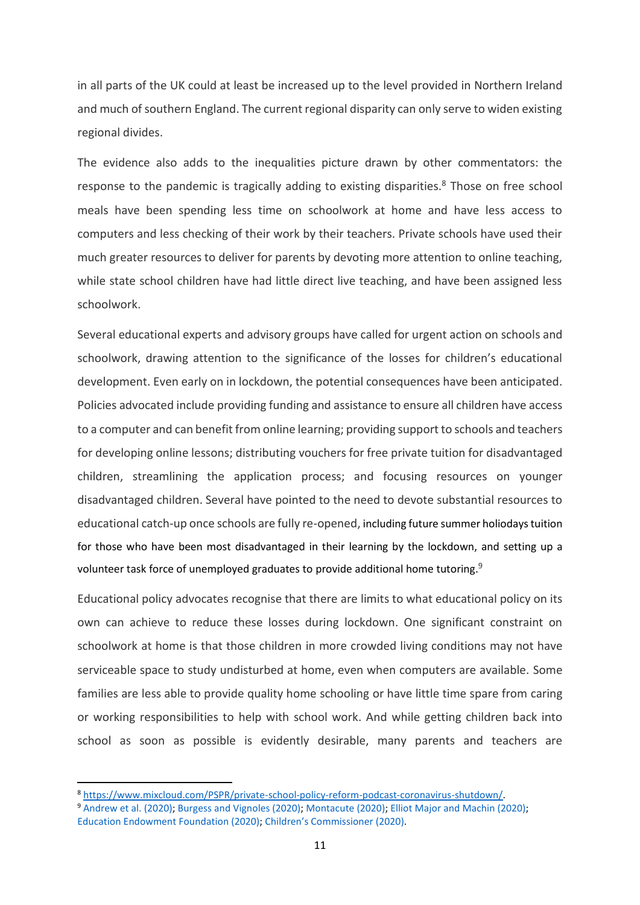in all parts of the UK could at least be increased up to the level provided in Northern Ireland and much of southern England. The current regional disparity can only serve to widen existing regional divides.

The evidence also adds to the inequalities picture drawn by other commentators: the response to the pandemic is tragically adding to existing disparities.<sup>8</sup> Those on free school meals have been spending less time on schoolwork at home and have less access to computers and less checking of their work by their teachers. Private schools have used their much greater resources to deliver for parents by devoting more attention to online teaching, while state school children have had little direct live teaching, and have been assigned less schoolwork.

Several educational experts and advisory groups have called for urgent action on schools and schoolwork, drawing attention to the significance of the losses for children's educational development. Even early on in lockdown, the potential consequences have been anticipated. Policies advocated include providing funding and assistance to ensure all children have access to a computer and can benefit from online learning; providing support to schools and teachers for developing online lessons; distributing vouchers for free private tuition for disadvantaged children, streamlining the application process; and focusing resources on younger disadvantaged children. Several have pointed to the need to devote substantial resources to educational catch-up once schools are fully re-opened, including future summer holiodays tuition for those who have been most disadvantaged in their learning by the lockdown, and setting up a volunteer task force of unemployed graduates to provide additional home tutoring.<sup>9</sup>

Educational policy advocates recognise that there are limits to what educational policy on its own can achieve to reduce these losses during lockdown. One significant constraint on schoolwork at home is that those children in more crowded living conditions may not have serviceable space to study undisturbed at home, even when computers are available. Some families are less able to provide quality home schooling or have little time spare from caring or working responsibilities to help with school work. And while getting children back into school as soon as possible is evidently desirable, many parents and teachers are

<sup>8</sup> [https://www.mixcloud.com/PSPR/private-school-policy-reform-podcast-coronavirus-shutdown/.](https://www.mixcloud.com/PSPR/private-school-policy-reform-podcast-coronavirus-shutdown/) <sup>9</sup> [Andrew et al. \(2020\);](https://www.ifs.org.uk/publications/14848) [Burgess and Vignoles \(2020\);](https://www.ukfiet.org/2020/the-covid-19-crisis-and-educational-inequality/) [Montacute \(2020\);](file:///C:/Users/green/OneDrive%20-%20University%20College%20London/ATempFolder/Covid_stuff/COVID-19-and-Social-Mobility-1.pdf) [Elliot Major and Machin \(2020\);](http://cep.lse.ac.uk/pubs/download/cepcovid-19-004.pdf)  [Education Endowment Foundation \(2020\);](https://educationendowmentfoundation.org.uk/covid-19-resources/support-resources-for-schools/) [Children's Commis](https://www.childrenscommissioner.gov.uk/publication/tackling-the-disadvantage-gap-during-the-covid-19-crisis/)sioner (2020).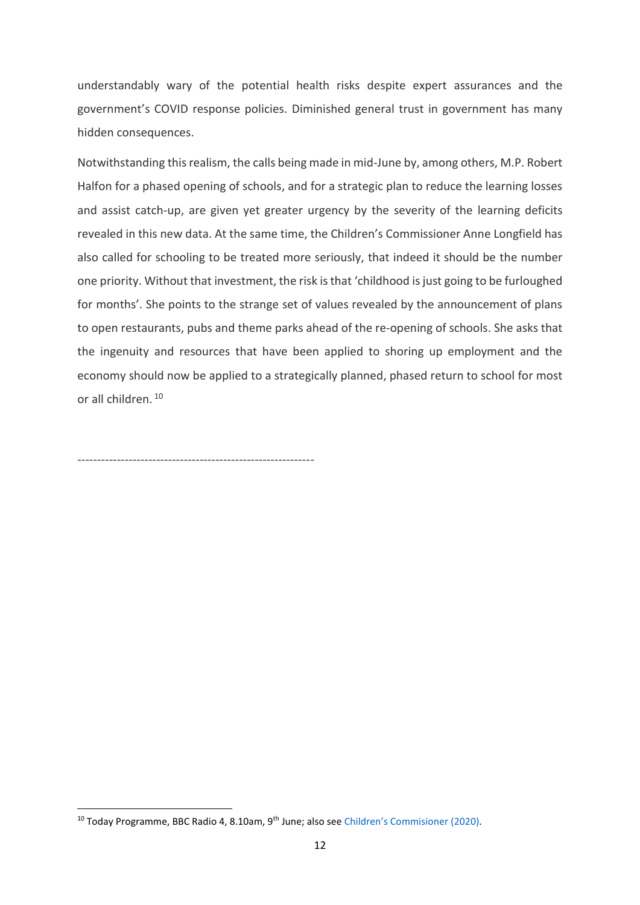understandably wary of the potential health risks despite expert assurances and the government's COVID response policies. Diminished general trust in government has many hidden consequences.

Notwithstanding this realism, the calls being made in mid-June by, among others, M.P. Robert Halfon for a phased opening of schools, and for a strategic plan to reduce the learning losses and assist catch-up, are given yet greater urgency by the severity of the learning deficits revealed in this new data. At the same time, the Children's Commissioner Anne Longfield has also called for schooling to be treated more seriously, that indeed it should be the number one priority. Without that investment, the risk is that 'childhood is just going to be furloughed for months'. She points to the strange set of values revealed by the announcement of plans to open restaurants, pubs and theme parks ahead of the re-opening of schools. She asks that the ingenuity and resources that have been applied to shoring up employment and the economy should now be applied to a strategically planned, phased return to school for most or all children. <sup>10</sup>

------------------------------------------------------------

<sup>&</sup>lt;sup>10</sup> Today Programme, BBC Radio 4, 8.10am, 9<sup>th</sup> June; also see [Children's Commision](https://www.childrenscommissioner.gov.uk/publication/tackling-the-disadvantage-gap-during-the-covid-19-crisis/)er (2020).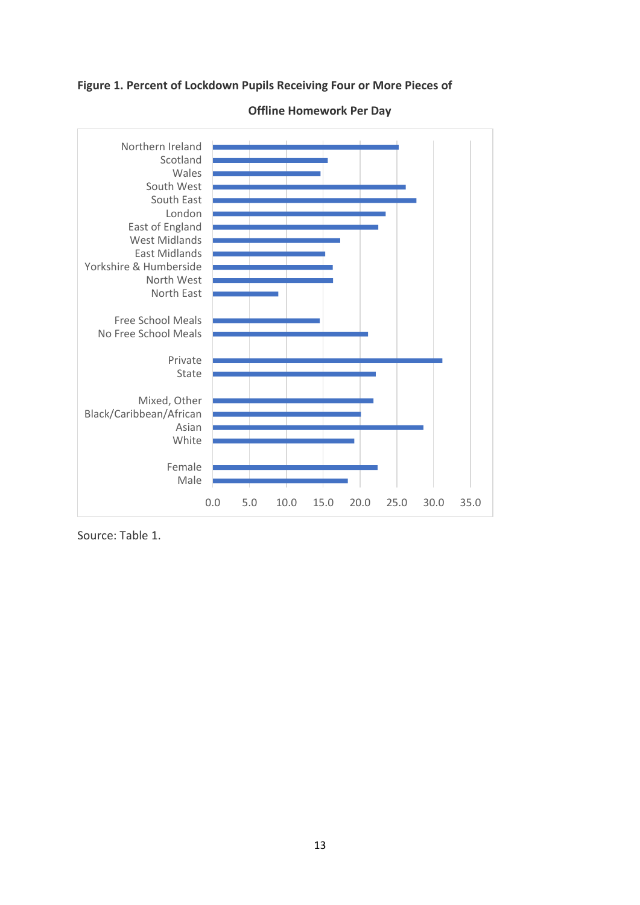**Figure 1. Percent of Lockdown Pupils Receiving Four or More Pieces of**



**Offline Homework Per Day**

Source: Table 1.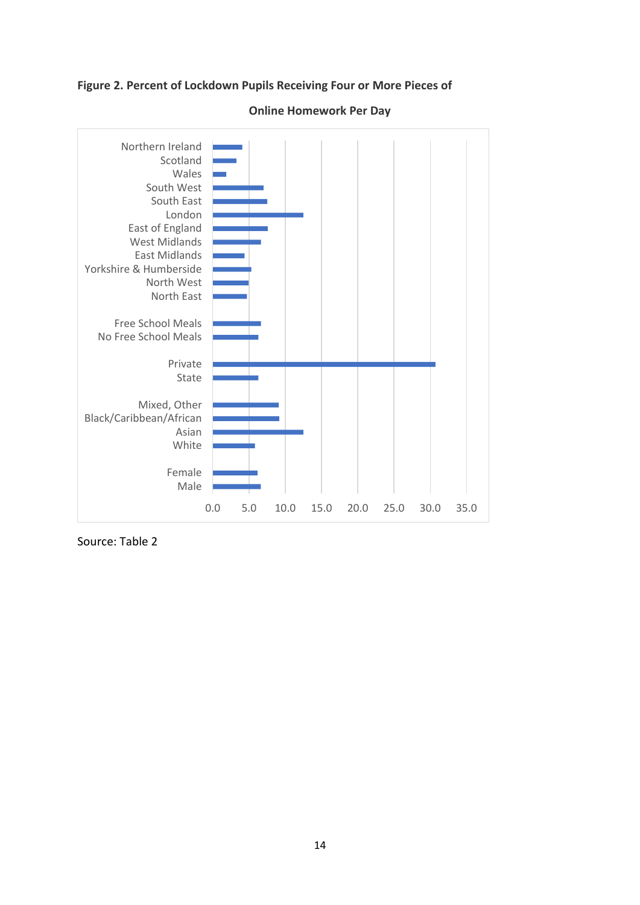### **Figure 2. Percent of Lockdown Pupils Receiving Four or More Pieces of**



### **Online Homework Per Day**

Source: Table 2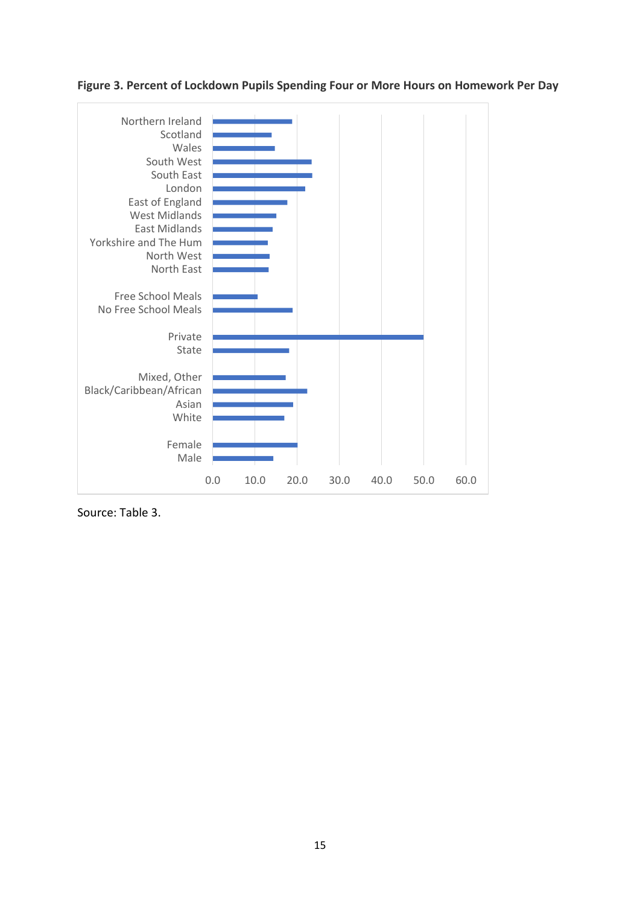



Source: Table 3.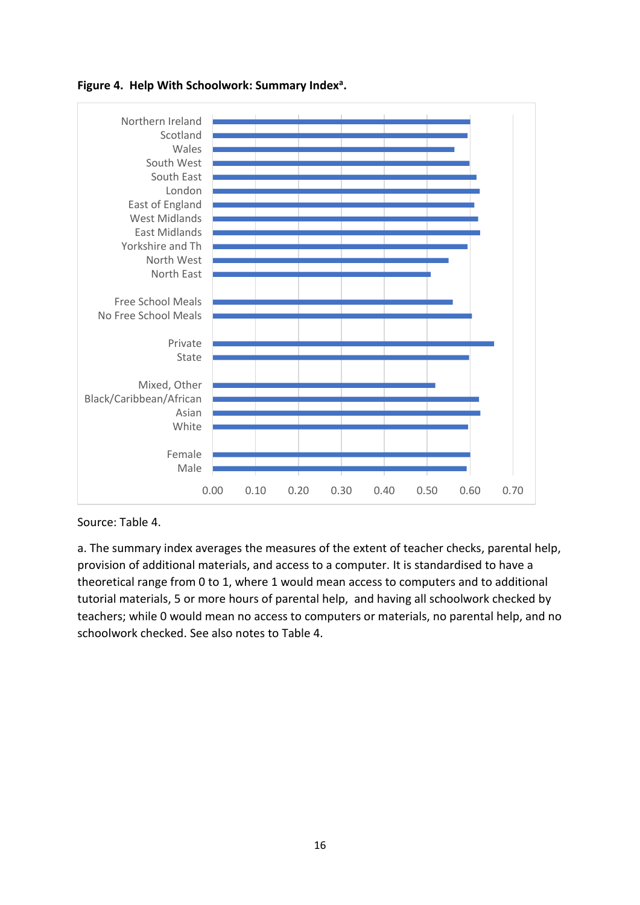

## **Figure 4. Help With Schoolwork: Summary Index<sup>a</sup> .**

Source: Table 4.

a. The summary index averages the measures of the extent of teacher checks, parental help, provision of additional materials, and access to a computer. It is standardised to have a theoretical range from 0 to 1, where 1 would mean access to computers and to additional tutorial materials, 5 or more hours of parental help, and having all schoolwork checked by teachers; while 0 would mean no access to computers or materials, no parental help, and no schoolwork checked. See also notes to Table 4.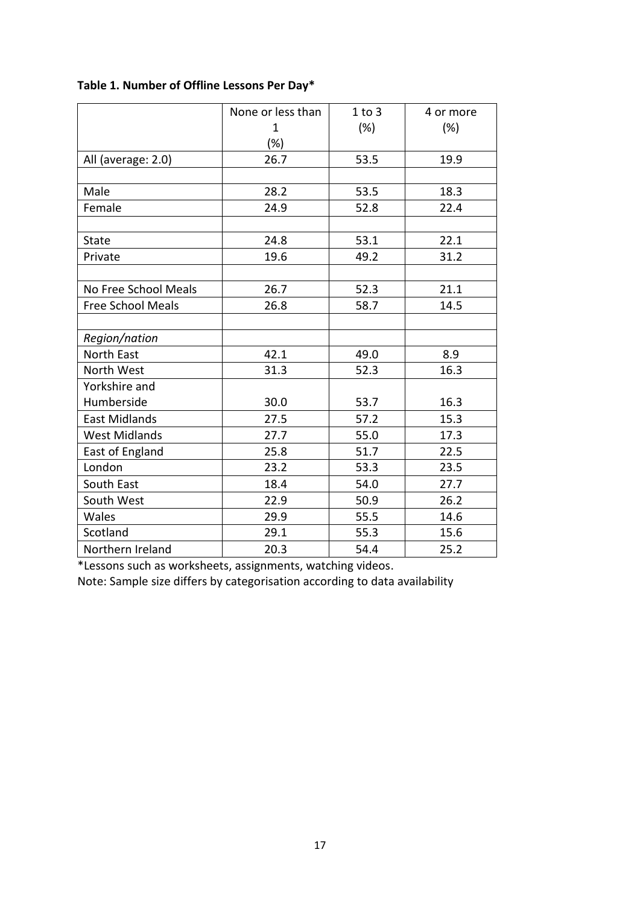|                          | None or less than | $1$ to $3$ | 4 or more |  |
|--------------------------|-------------------|------------|-----------|--|
|                          | 1                 | (%)        | (%)       |  |
|                          | $(\%)$            |            |           |  |
| All (average: 2.0)       | 26.7              | 53.5       | 19.9      |  |
|                          |                   |            |           |  |
| Male                     | 28.2              | 53.5       | 18.3      |  |
| Female                   | 24.9              | 52.8       | 22.4      |  |
|                          |                   |            |           |  |
| <b>State</b>             | 24.8              | 53.1       | 22.1      |  |
| Private                  | 19.6              | 49.2       | 31.2      |  |
|                          |                   |            |           |  |
| No Free School Meals     | 26.7              | 52.3       | 21.1      |  |
| <b>Free School Meals</b> | 26.8              | 58.7       | 14.5      |  |
|                          |                   |            |           |  |
| Region/nation            |                   |            |           |  |
| <b>North East</b>        | 42.1              | 49.0       | 8.9       |  |
| North West               | 31.3              | 52.3       | 16.3      |  |
| Yorkshire and            |                   |            |           |  |
| Humberside               | 30.0              | 53.7       | 16.3      |  |
| <b>East Midlands</b>     | 27.5              | 57.2       | 15.3      |  |
| <b>West Midlands</b>     | 27.7              | 55.0       | 17.3      |  |
| East of England          | 25.8              | 51.7       | 22.5      |  |
| London                   | 23.2              | 53.3       | 23.5      |  |
| South East               | 18.4              | 54.0       | 27.7      |  |
| South West               | 22.9              | 50.9       | 26.2      |  |
| Wales                    | 29.9              | 55.5       | 14.6      |  |
| Scotland                 | 29.1              | 55.3       | 15.6      |  |
| Northern Ireland         | 20.3              | 54.4       | 25.2      |  |

# **Table 1. Number of Offline Lessons Per Day\***

\*Lessons such as worksheets, assignments, watching videos.

Note: Sample size differs by categorisation according to data availability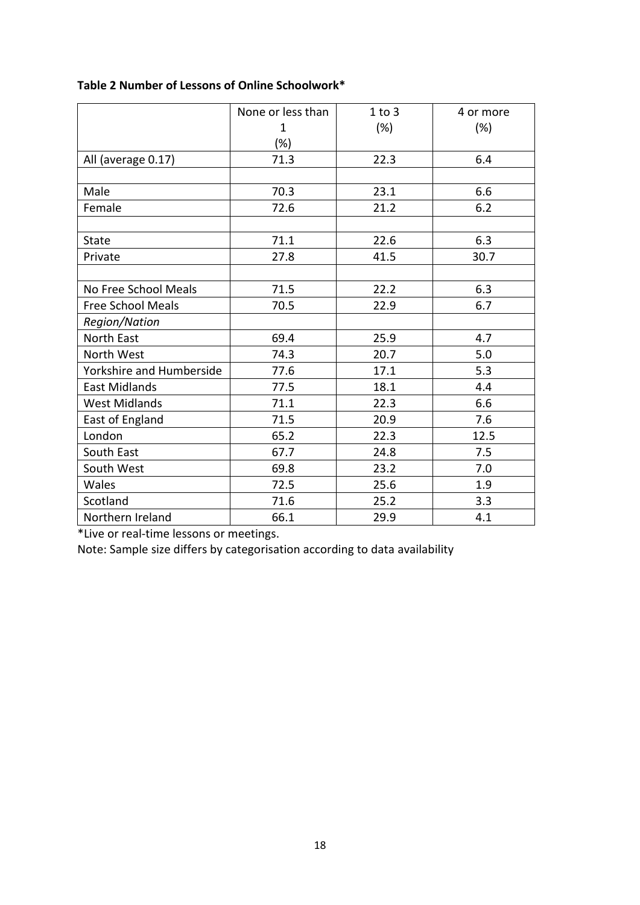|                          | None or less than | 1 to 3 | 4 or more |  |
|--------------------------|-------------------|--------|-----------|--|
|                          | 1                 | (%)    | (%)       |  |
|                          | $(\%)$            |        |           |  |
| All (average 0.17)       | 71.3              | 22.3   | 6.4       |  |
|                          |                   |        |           |  |
| Male                     | 70.3              | 23.1   | 6.6       |  |
| Female                   | 21.2<br>72.6      |        | 6.2       |  |
|                          |                   |        |           |  |
| <b>State</b>             | 71.1              | 22.6   | 6.3       |  |
| Private                  | 27.8<br>41.5      |        | 30.7      |  |
|                          |                   |        |           |  |
| No Free School Meals     | 71.5              | 22.2   | 6.3       |  |
| <b>Free School Meals</b> | 70.5              | 22.9   | 6.7       |  |
| Region/Nation            |                   |        |           |  |
| <b>North East</b>        | 69.4              | 25.9   | 4.7       |  |
| North West               | 74.3              | 20.7   | 5.0       |  |
| Yorkshire and Humberside | 77.6              | 17.1   | 5.3       |  |
| <b>East Midlands</b>     | 77.5              | 18.1   | 4.4       |  |
| <b>West Midlands</b>     | 71.1              | 22.3   | 6.6       |  |
| East of England          | 71.5              | 20.9   | 7.6       |  |
| London                   | 65.2              | 22.3   | 12.5      |  |
| South East               | 67.7              | 24.8   | 7.5       |  |
| South West               | 69.8              | 23.2   | 7.0       |  |
| Wales                    | 72.5              | 25.6   | 1.9       |  |
| Scotland                 | 71.6              | 25.2   | 3.3       |  |
| Northern Ireland         | 66.1              | 29.9   | 4.1       |  |

# **Table 2 Number of Lessons of Online Schoolwork\***

\*Live or real-time lessons or meetings.

Note: Sample size differs by categorisation according to data availability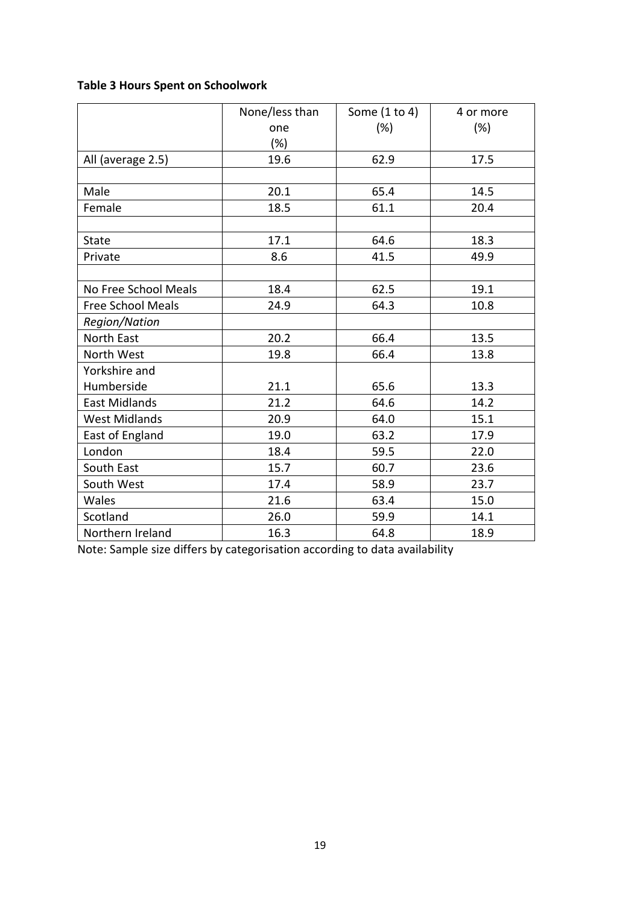# **Table 3 Hours Spent on Schoolwork**

|                          | None/less than | Some (1 to 4) | 4 or more |  |
|--------------------------|----------------|---------------|-----------|--|
|                          | (%)<br>one     |               | (%)       |  |
|                          | $(\%)$         |               |           |  |
| All (average 2.5)        | 19.6           | 62.9          | 17.5      |  |
|                          |                |               |           |  |
| Male                     | 20.1<br>65.4   |               | 14.5      |  |
| Female                   | 18.5<br>61.1   |               | 20.4      |  |
|                          |                |               |           |  |
| <b>State</b>             | 17.1<br>64.6   |               | 18.3      |  |
| Private                  | 8.6<br>41.5    |               | 49.9      |  |
|                          |                |               |           |  |
| No Free School Meals     | 18.4           | 62.5          | 19.1      |  |
| <b>Free School Meals</b> | 24.9           | 64.3          | 10.8      |  |
| Region/Nation            |                |               |           |  |
| <b>North East</b>        | 20.2           | 66.4          | 13.5      |  |
| North West               | 19.8           | 66.4          | 13.8      |  |
| Yorkshire and            |                |               |           |  |
| Humberside               | 21.1           | 65.6          | 13.3      |  |
| <b>East Midlands</b>     | 21.2           | 64.6          | 14.2      |  |
| <b>West Midlands</b>     | 20.9           | 64.0          | 15.1      |  |
| East of England          | 19.0           | 63.2          | 17.9      |  |
| London                   | 18.4           | 59.5          | 22.0      |  |
| South East               | 15.7           | 60.7          | 23.6      |  |
| South West               | 17.4           | 58.9          | 23.7      |  |
| Wales                    | 21.6           | 63.4<br>15.0  |           |  |
| Scotland                 | 26.0           | 59.9          | 14.1      |  |
| Northern Ireland         | 16.3           | 64.8<br>18.9  |           |  |

Note: Sample size differs by categorisation according to data availability